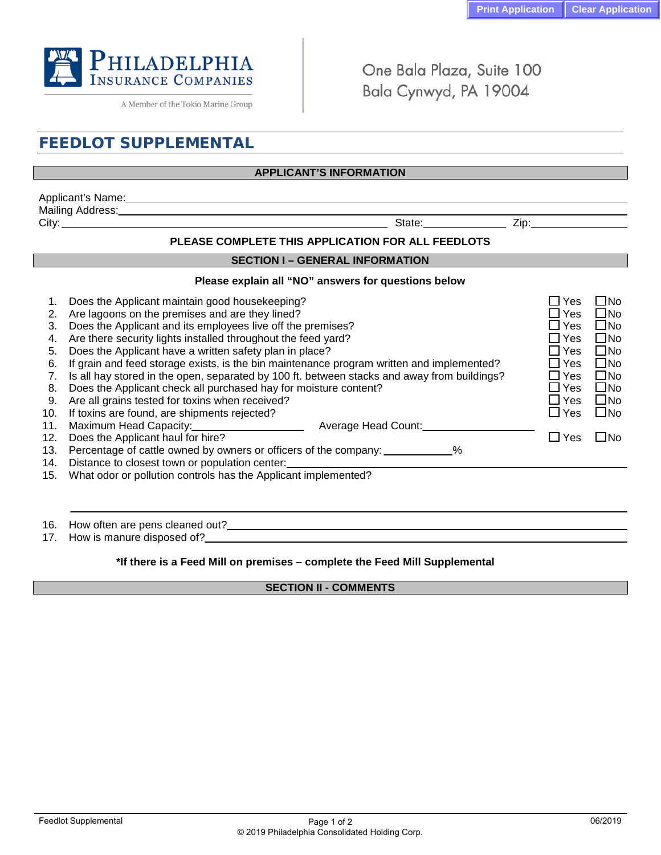

A Member of the Tokio Marine Group

One Bala Plaza, Suite 100 Bala Cynwyd, PA 19004

# **FEEDLOT SUPPLEMENTAL**

# **APPLICANT'S INFORMATION**

| Applicant's<br>≅Name: |        |              |
|-----------------------|--------|--------------|
| Mailing Address:      |        |              |
| City:                 | State: | --<br><br>ᄼᄔ |

## **PLEASE COMPLETE THIS APPLICATION FOR ALL FEEDLOTS**

#### **SECTION I – GENERAL INFORMATION**

## **Please explain all "NO" answers for questions below**

| 2.<br>3.<br>4.<br>5.<br>6.<br>7.<br>8.<br>9.<br>10.<br>11.<br>12. | Does the Applicant maintain good housekeeping?<br>Are lagoons on the premises and are they lined?<br>Does the Applicant and its employees live off the premises?<br>Are there security lights installed throughout the feed yard?<br>Does the Applicant have a written safety plan in place?<br>If grain and feed storage exists, is the bin maintenance program written and implemented?<br>Is all hay stored in the open, separated by 100 ft. between stacks and away from buildings?<br>Does the Applicant check all purchased hay for moisture content?<br>Are all grains tested for toxins when received?<br>If toxins are found, are shipments rejected?<br>Average Head Count:<br>Does the Applicant haul for hire? | Yes<br>$\blacksquare$<br>Yes<br>$\blacksquare$<br>⊿ Yes<br>∐ Yes<br>∐ Yes<br>l Yes<br>∟l Yes<br>∟l Yes<br>∐ Yes<br>$\square$ Yes<br>∐ Yes | $\Box$ No<br>$\square$ No<br>$\square$ No<br>$\square$ No<br>$\square$ No<br>$\square$ No<br>$\square$ No<br>$\square$ No<br>$\square$ No<br>$\square$ No<br>l INo |
|-------------------------------------------------------------------|-----------------------------------------------------------------------------------------------------------------------------------------------------------------------------------------------------------------------------------------------------------------------------------------------------------------------------------------------------------------------------------------------------------------------------------------------------------------------------------------------------------------------------------------------------------------------------------------------------------------------------------------------------------------------------------------------------------------------------|-------------------------------------------------------------------------------------------------------------------------------------------|--------------------------------------------------------------------------------------------------------------------------------------------------------------------|
| 13.                                                               | Percentage of cattle owned by owners or officers of the company: ___________%                                                                                                                                                                                                                                                                                                                                                                                                                                                                                                                                                                                                                                               |                                                                                                                                           |                                                                                                                                                                    |
| 14.                                                               | Distance to closest town or population center:                                                                                                                                                                                                                                                                                                                                                                                                                                                                                                                                                                                                                                                                              |                                                                                                                                           |                                                                                                                                                                    |
| 15.                                                               | What odor or pollution controls has the Applicant implemented?                                                                                                                                                                                                                                                                                                                                                                                                                                                                                                                                                                                                                                                              |                                                                                                                                           |                                                                                                                                                                    |
| 16.                                                               | How often are pens cleaned out?____________                                                                                                                                                                                                                                                                                                                                                                                                                                                                                                                                                                                                                                                                                 |                                                                                                                                           |                                                                                                                                                                    |
| 17.                                                               | How is manure disposed of?                                                                                                                                                                                                                                                                                                                                                                                                                                                                                                                                                                                                                                                                                                  |                                                                                                                                           |                                                                                                                                                                    |

## **\*If there is a Feed Mill on premises – complete the Feed Mill Supplemental**

# **SECTION II - COMMENTS**